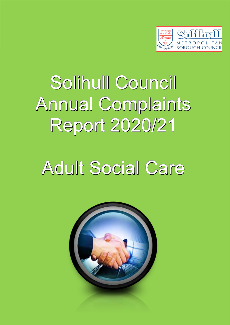

# Solihull Council Annual Complaints Report 2020/21

# Adult Social Care

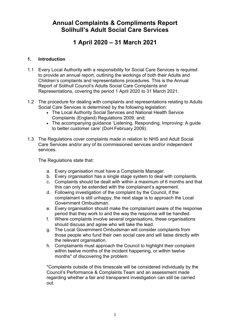## **Annual Complaints & Compliments Report Solihull's Adult Social Care Services**

## **1 April 2020 – 31 March 2021**

## **1. Introduction**

- 1.1 Every Local Authority with a responsibility for Social Care Services is required to provide an annual report, outlining the workings of both their Adults and Children's complaints and representations procedures. This is the Annual Report of Solihull Council's Adults Social Care Complaints and Representations, covering the period 1 April 2020 to 31 March 2021.
- 1.2 The procedure for dealing with complaints and representations relating to Adults Social Care Services is determined by the following legislation:
	- The Local Authority Social Services and National Health Service Complaints (England) Regulations 2009, and;
	- The accompanying guidance 'Listening, Responding, Improving: A guide to better customer care' (DoH February 2009).
- 1.3 The Regulations cover complaints made in relation to NHS and Adult Social Care Services and/or any of its commissioned services and/or independent services.

The Regulations state that:

- a. Every organisation must have a Complaints Manager.
- b. Every organisation has a single stage system to deal with complaints.
- c. Complaints should be dealt with within a maximum of 6 months and that this can only be extended with the complainant's agreement.
- d. Following investigation of the complaint by the Council, if the complainant is still unhappy, the next stage is to approach the Local Government Ombudsman.
- e. Every organisation should make the complainant aware of the response period that they work to and the way the response will be handled.
- f. Where complaints involve several organisations, these organisations should discuss and agree who will take the lead.
- g. The Local Government Ombudsman will consider complaints from those people who fund their own social care and will liaise directly with the relevant organisation.
- h. Complainants must approach the Council to highlight their complaint within twelve months of the incident happening, or within twelve months\* of discovering the problem.

\*Complaints outside of this timescale will be considered individually by the Council's Performance & Complaints Team and an assessment made regarding whether a fair and transparent investigation can still be carried out.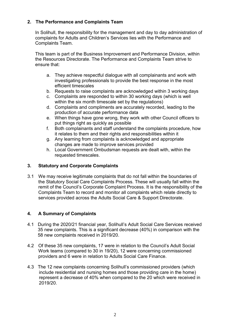## **2. The Performance and Complaints Team**

In Solihull, the responsibility for the management and day to day administration of complaints for Adults and Children's Services lies with the Performance and Complaints Team.

This team is part of the Business Improvement and Performance Division, within the Resources Directorate. The Performance and Complaints Team strive to ensure that:

- a. They achieve respectful dialogue with all complainants and work with investigating professionals to provide the best response in the most efficient timescales
- b. Requests to raise complaints are acknowledged within 3 working days
- c. Complaints are responded to within 30 working days (which is well within the six month timescale set by the regulations)
- d. Complaints and compliments are accurately recorded, leading to the production of accurate performance data
- e. When things have gone wrong, they work with other Council officers to put things right as quickly as possible
- f. Both complainants and staff understand the complaints procedure, how it relates to them and their rights and responsibilities within it
- g. Any learning from complaints is acknowledged and appropriate changes are made to improve services provided
- h. Local Government Ombudsman requests are dealt with, within the requested timescales.

## **3. Statutory and Corporate Complaints**

3.1 We may receive legitimate complaints that do not fall within the boundaries of the Statutory Social Care Complaints Process. These will usually fall within the remit of the Council's Corporate Complaint Process. It is the responsibility of the Complaints Team to record and monitor all complaints which relate directly to services provided across the Adults Social Care & Support Directorate.

## **4. A Summary of Complaints**

- 4.1 During the 2020/21 financial year, Solihull's Adult Social Care Services received 35 new complaints. This is a significant decrease (40%) in comparison with the 58 new complaints received in 2019/20.
- 4.2 Of these 35 new complaints, 17 were in relation to the Council's Adult Social Work teams (compared to 30 in 19/20), 12 were concerning commissioned providers and 6 were in relation to Adults Social Care Finance.
- 4.3 The 12 new complaints concerning Solihull's commissioned providers (which include residential and nursing homes and those providing care in the home) represent a decrease of 40% when compared to the 20 which were received in 2019/20.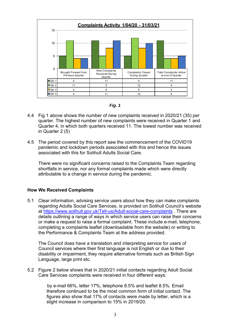



- 4.4 Fig 1 above shows the number of new complaints received in 2020/21 (35) per quarter. The highest number of new complaints were received in Quarter 1 and Quarter 4, in which both quarters received 11. The lowest number was received in Quarter 2 (5)
- 4.5 The period covered by this report saw the commencement of the COVID19 pandemic and lockdown periods associated with this and hence the issues associated with this for Solihull Adults Social Care.

There were no significant concerns raised to the Complaints Team regarding shortfalls in service, nor any formal complaints made which were directly attributable to a change in service during the pandemic.

## **How We Received Complaints**

5.1 Clear information, advising service users about how they can make complaints regarding Adults Social Care Services, is provided on Solihull Council's website at <https://www.solihull.gov.uk/Tell-us/Adult-social-care-complaints> . There are details outlining a range of ways in which service users can raise their concerns or make a request to raise a formal complaint. These include e-mail, telephone, completing a complaints leaflet (downloadable from the website) or writing to the Performance & Complaints Team at the address provided.

The Council does have a translation and interpreting service for users of Council services where their first language is not English or due to their disability or impairment, they require alternative formats such as British Sign Language, large print etc.

5.2 Figure 2 below shows that in 2020/21 initial contacts regarding Adult Social Care Services complaints were received in four different ways:

> by e-mail 66%, letter 17%, telephone 8.5% and leaflet 8.5%. Email therefore continued to be the most common form of initial contact. The figures also show that 17% of contacts were made by letter, which is a slight increase in comparison to 15% in 2019/20.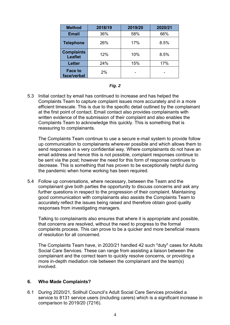| <b>Method</b>                       | 2018/19 | 2019/20 | 2020/21 |
|-------------------------------------|---------|---------|---------|
| <b>Email</b>                        | 36%     | 58%     | 66%     |
| <b>Telephone</b>                    | 26%     | 17%     | 8.5%    |
| <b>Complaints</b><br><b>Leaflet</b> | 12%     | 10%     | 8.5%    |
| <b>Letter</b>                       | 24%     | 15%     | 17%     |
| <b>Face to</b><br>face/verbal       | 2%      |         |         |

|--|--|

5.3 Initial contact by email has continued to increase and has helped the Complaints Team to capture complaint issues more accurately and in a more efficient timescale. This is due to the specific detail outlined by the complainant at the first point of contact. Email contact also provides complainants with written evidence of the submission of their complaint and also enables the Complaints Team to acknowledge this quickly. This is something that is reassuring to complainants.

The Complaints Team continue to use a secure e-mail system to provide follow up communication to complainants wherever possible and which allows them to send responses in a very confidential way. Where complainants do not have an email address and hence this is not possible, complaint responses continue to be sent via the post; however the need for this form of response continues to decrease. This is something that has proven to be exceptionally helpful during the pandemic when home working has been required.

5.4 Follow up conversations, where necessary, between the Team and the complainant give both parties the opportunity to discuss concerns and ask any further questions in respect to the progression of their complaint. Maintaining good communication with complainants also assists the Complaints Team to accurately reflect the issues being raised and therefore obtain good quality responses from investigating managers.

Talking to complainants also ensures that where it is appropriate and possible, that concerns are resolved, without the need to progress to the formal complaints process. This can prove to be a quicker and more beneficial means of resolution for all concerned.

The Complaints Team have, in 2020/21 handled 42 such "duty" cases for Adults Social Care Services. These can range from assisting a liaison between the complainant and the correct team to quickly resolve concerns, or providing a more in-depth mediation role between the complainant and the team(s) involved.

#### **6. Who Made Complaints?**

6.1 During 2020/21, Solihull Council's Adult Social Care Services provided a service to 8131 service users (including carers) which is a significant increase in comparison to 2019/20 (7216).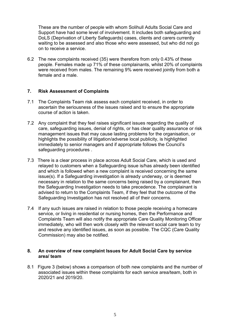These are the number of people with whom Solihull Adults Social Care and Support have had some level of involvement. It includes both safeguarding and DoLS (Deprivation of Liberty Safeguards) cases, clients and carers currently waiting to be assessed and also those who were assessed, but who did not go on to receive a service.

6.2 The new complaints received (35) were therefore from only 0.43% of these people. Females made up 71% of these complainants, whilst 20% of complaints were received from males. The remaining 9% were received jointly from both a female and a male.

#### **7. Risk Assessment of Complaints**

- 7.1 The Complaints Team risk assess each complaint received, in order to ascertain the seriousness of the issues raised and to ensure the appropriate course of action is taken.
- 7.2 Any complaint that they feel raises significant issues regarding the quality of care, safeguarding issues, denial of rights, or has clear quality assurance or risk management issues that may cause lasting problems for the organisation, or highlights the possibility of litigation/adverse local publicity, is highlighted immediately to senior managers and if appropriate follows the Council's safeguarding procedures .
- 7.3 There is a clear process in place across Adult Social Care, which is used and relayed to customers when a Safeguarding issue is/has already been identified and which is followed when a new complaint is received concerning the same issue(s). If a Safeguarding investigation is already underway, or is deemed necessary in relation to the same concerns being raised by a complainant, then the Safeguarding Investigation needs to take precedence. The complainant is advised to return to the Complaints Team, if they feel that the outcome of the Safeguarding Investigation has not resolved all of their concerns.
- 7.4 If any such issues are raised in relation to those people receiving a homecare service, or living in residential or nursing homes, then the Performance and Complaints Team will also notify the appropriate Care Quality Monitoring Officer immediately, who will then work closely with the relevant social care team to try and resolve any identified issues, as soon as possible. The CQC (Care Quality Commission) may also be notified.

#### **8. An overview of new complaint Issues for Adult Social Care by service area/ team**

8.1 Figure 3 (below) shows a comparison of both new complaints and the number of associated issues within these complaints for each service area/team, both in 2020/21 and 2019/20.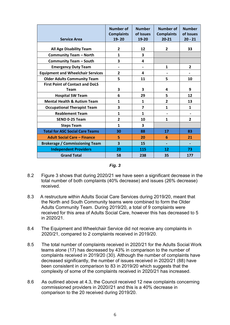| <b>Service Area</b>                      | <b>Number of</b><br><b>Complaints</b><br>19-20 | <b>Number</b><br>of Issues<br>19-20 | <b>Number of</b><br><b>Complaints</b><br>$20 - 21$ | <b>Number</b><br>of Issues<br>$20 - 21$ |
|------------------------------------------|------------------------------------------------|-------------------------------------|----------------------------------------------------|-----------------------------------------|
| <b>All Age Disability Team</b>           | 2                                              | 12                                  | 2                                                  | 33                                      |
| <b>Community Team - North</b>            | $\mathbf{1}$                                   | 3                                   |                                                    |                                         |
| <b>Community Team - South</b>            | 3                                              | 4                                   |                                                    |                                         |
| <b>Emergency Duty Team</b>               |                                                | $\qquad \qquad \blacksquare$        | 1                                                  | $\overline{2}$                          |
| <b>Equipment and Wheelchair Services</b> | $\overline{2}$                                 | 4                                   |                                                    |                                         |
| <b>Older Adults Community Team</b>       | 5                                              | 11                                  | 5                                                  | 10                                      |
| <b>First Point of Contact and DoLS</b>   |                                                |                                     |                                                    |                                         |
| <b>Team</b>                              | 3                                              | 3                                   | 4                                                  | 9                                       |
| <b>Hospital SW Team</b>                  | 6                                              | 29                                  | 5                                                  | 12                                      |
| <b>Mental Health &amp; Autism Team</b>   | 1                                              | $\mathbf{1}$                        | $\overline{2}$                                     | 13                                      |
| <b>Occupational Therapist Team</b>       | 3                                              | $\overline{\mathbf{z}}$             | $\mathbf{1}$                                       | $\mathbf{1}$                            |
| <b>Reablement Team</b>                   | $\mathbf{1}$                                   | $\mathbf{1}$                        |                                                    |                                         |
| SEND 0-25 Team                           | 2                                              | 10                                  | 1                                                  | 2                                       |
| <b>Steps Team</b>                        | $\mathbf{1}$                                   | 3                                   |                                                    |                                         |
| <b>Total for ASC Social Care Teams</b>   | 30                                             | 88                                  | 17                                                 | 83                                      |
| <b>Adult Social Care - Finance</b>       | 5                                              | 20                                  | 6                                                  | 21                                      |
| <b>Brokerage / Commissioning Team</b>    | 3                                              | 15                                  | ٠                                                  |                                         |
| <b>Independent Providers</b>             | 20                                             | 115                                 | 12                                                 | 73                                      |
| <b>Grand Total</b>                       | 58                                             | 238                                 | 35                                                 | 177                                     |

*Fig. 3*

- 8.2 Figure 3 shows that during 2020/21 we have seen a significant decrease in the total number of both complaints (40% decrease) and issues (26% decrease) received.
- 8.3 A restructure within Adults Social Care Services during 2019/20, meant that the North and South Community teams were combined to form the Older Adults Community Team. During 2019/20, a total of 9 complaints were received for this area of Adults Social Care, however this has decreased to 5 in 2020/21.
- 8.4 The Equipment and Wheelchair Service did not receive any complaints in 2020/21, compared to 2 complaints received in 2019/20.
- 8.5 The total number of complaints received in 2020/21 for the Adults Social Work teams alone (17) has decreased by 43% in comparison to the number of complaints received in 2019/20 (30). Although the number of complaints have decreased significantly, the number of issues received in 2020/21 (88) have been consistent in comparison to 83 in 2019/20 which suggests that the complexity of some of the complaints received in 2020/21 has increased.
- 8.6 As outlined above at 4.3, the Council received 12 new complaints concerning commissioned providers in 2020//21 and this is a 40% decrease in comparison to the 20 received during 2019/20.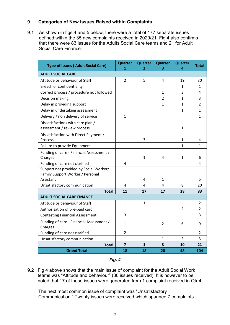## **9. Categories of New Issues Raised within Complaints**

9.1 As shown in figs 4 and 5 below, there were a total of 177 separate issues defined within the 35 new complaints received in 2020/21. Fig 4 also confirms that there were 83 issues for the Adults Social Care teams and 21 for Adult Social Care Finance.

| <b>Type of Issues (Adult Social Care)</b>           | <b>Quarter</b><br>1 | <b>Quarter</b><br>2 | <b>Quarter</b><br>з     | <b>Quarter</b><br>4 | <b>Total</b>   |
|-----------------------------------------------------|---------------------|---------------------|-------------------------|---------------------|----------------|
| <b>ADULT SOCIAL CARE</b>                            |                     |                     |                         |                     |                |
| Attitude or behaviour of Staff                      | 2                   | 5                   | 4                       | 19                  | 30             |
| Breach of confidentiality                           |                     |                     |                         | 1                   | 1              |
| Correct process / procedure not followed            |                     |                     | 1                       | 3                   | 4              |
| Decision making                                     |                     |                     | $\overline{2}$          | $\mathbf{1}$        | 3              |
| Delay in providing support                          |                     |                     | $\mathbf{1}$            | $\mathbf{1}$        | $\overline{2}$ |
| Delay in undertaking assessment                     |                     |                     |                         | $\mathbf{1}$        | $\mathbf{1}$   |
| Delivery / non delivery of service                  | $\mathbf{1}$        |                     |                         |                     | $\mathbf{1}$   |
| Dissatisfactions with care plan /                   |                     |                     |                         |                     |                |
| assessment / review process                         |                     |                     |                         | $\mathbf{1}$        | 1              |
| Dissatisfaction with Direct Payment /               |                     |                     |                         |                     |                |
| Process                                             |                     | 3                   |                         | $\mathbf{1}$        | 4              |
| Failure to provide Equipment                        |                     |                     |                         | $\mathbf{1}$        | $\mathbf{1}$   |
| Funding of care - Financial Assessment /            |                     |                     |                         |                     |                |
| Charges                                             |                     | 1                   | 4                       | 1                   | 6              |
| Funding of care not clarified                       | 4                   |                     |                         |                     | 4              |
| Support not provided by Social Worker/              |                     |                     |                         |                     |                |
| Family Support Worker / Personal                    |                     |                     |                         |                     |                |
| Assistant                                           |                     | 4                   | $\mathbf{1}$            |                     | 5              |
| Unsatisfactory communication<br><b>Total</b>        | 4<br>11             | 4                   | 4<br>17                 | 8                   | 20             |
| <b>ADULT SOCIAL CARE FINANCE</b>                    |                     | 17                  |                         | 38                  | 83             |
|                                                     | $\mathbf{1}$        | $\mathbf{1}$        |                         |                     | 2              |
| Attitude or behaviour of Staff                      |                     |                     |                         | 2                   | 2              |
| Authorisation of pre-paid card                      | 3                   |                     |                         |                     | 3              |
| <b>Contesting Financial Assessment</b>              |                     |                     |                         |                     |                |
| Funding of care - Financial Assessment /<br>Charges | $\mathbf{1}$        |                     | 2                       | 6                   | 9              |
| Funding of care not clarified                       | $\overline{2}$      |                     |                         |                     | $\overline{2}$ |
| Unsatisfactory communication                        |                     |                     | 1                       | $\overline{2}$      | 3              |
| <b>Total</b>                                        | $\overline{7}$      | $\mathbf{1}$        | $\overline{\mathbf{3}}$ | 10                  | 21             |
| <b>Grand Total</b>                                  | 18                  | 18                  | 20                      | 48                  | 104            |

*Fig. 4*

9.2 Fig 4 above shows that the main issue of complaint for the Adult Social Work teams was "Attitude and behaviour" (30 issues received). It is however to be noted that 17 of these issues were generated from 1 complaint received in Qtr 4.

The next most common issue of complaint was "Unsatisfactory Communication." Twenty issues were received which spanned 7 complaints.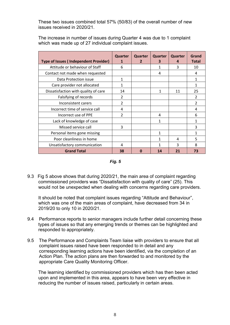These two issues combined total 57% (50/83) of the overall number of new issues received in 2020/21.

The increase in number of issues during Quarter 4 was due to 1 complaint which was made up of 27 individual complaint issues.

| <b>Type of Issues (Independent Provider)</b> | Quarter<br>1             | Quarter<br>$\mathbf{z}$ | Quarter<br>з | Quarter<br>4 | Grand<br><b>Total</b> |
|----------------------------------------------|--------------------------|-------------------------|--------------|--------------|-----------------------|
| Attitude or behaviour of Staff               | 6                        |                         | 1            | 3            | 10                    |
| Contact not made when requested              |                          |                         | 4            |              | 4                     |
| Data Protection issue                        | 1                        |                         |              |              | $\mathbf{1}$          |
| Care provider not allocated                  | 1                        |                         |              |              | 1                     |
| Dissatisfaction with quality of care         | 14                       |                         | 1            | 11           | 25                    |
| Falsifying of records                        | $\mathcal{P}$            |                         |              |              | $\mathfrak{p}$        |
| Inconsistent carers                          | $\overline{\mathcal{L}}$ |                         |              |              | $\overline{2}$        |
| Incorrect time of service call               | 4                        |                         |              |              | 4                     |
| Incorrect use of PPE                         | $\mathfrak{p}$           |                         | 4            |              | 6                     |
| Lack of knowledge of case                    |                          |                         | 1            |              | 1                     |
| Missed service call                          | 3                        |                         |              |              | 3                     |
| Personal items gone missing                  |                          |                         | 1            |              | 1                     |
| Poor cleanliness in home                     |                          |                         | 1            | 4            | 5                     |
| Unsatisfactory communication                 | 4                        |                         | 1            | 3            | 8                     |
| <b>Grand Total</b>                           | 38                       | n                       | 14           | 21           | 73                    |

*Fig. 5*

9.3 Fig 5 above shows that during 2020/21, the main area of complaint regarding commissioned providers was "Dissatisfaction with quality of care" (25). This would not be unexpected when dealing with concerns regarding care providers.

It should be noted that complaint issues regarding "Attitude and Behaviour", which was one of the main areas of complaint, have decreased from 34 in 2019/20 to only 10 in 2020/21.

- 9.4 Performance reports to senior managers include further detail concerning these types of issues so that any emerging trends or themes can be highlighted and responded to appropriately.
- 9.5 The Performance and Complaints Team liaise with providers to ensure that all complaint issues raised have been responded to in detail and any corresponding learning actions have been identified, via the completion of an Action Plan. The action plans are then forwarded to and monitored by the appropriate Care Quality Monitoring Officer.

The learning identified by commissioned providers which has then been acted upon and implemented in this area, appears to have been very effective in reducing the number of issues raised, particularly in certain areas.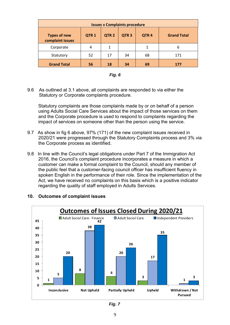| <b>Issues v Complaints procedure</b>                                                                                                          |    |    |    |    |     |  |  |
|-----------------------------------------------------------------------------------------------------------------------------------------------|----|----|----|----|-----|--|--|
| QTR <sub>1</sub><br><b>Grand Total</b><br>QTR <sub>2</sub><br>QTR <sub>3</sub><br>QTR <sub>4</sub><br><b>Types of new</b><br>complaint issues |    |    |    |    |     |  |  |
| Corporate                                                                                                                                     | 4  |    |    | 1  | 6   |  |  |
| Statutory                                                                                                                                     | 52 | 17 | 34 | 68 | 171 |  |  |
| <b>Grand Total</b>                                                                                                                            | 56 | 18 | 34 | 69 | 177 |  |  |



9.6 As outlined at 3.1 above, all complaints are responded to via either the Statutory or Corporate complaints procedure.

Statutory complaints are those complaints made by or on behalf of a person using Adults Social Care Services about the impact of those services on them and the Corporate procedure is used to respond to complaints regarding the impact of services on someone other than the person using the service.

- 9.7 As show in fig 6 above, 97% (171) of the new complaint issues received in 2020/21 were progressed through the Statutory Complaints process and 3% via the Corporate process as identified.
- 9.8 In line with the Council's legal obligations under Part 7 of the Immigration Act 2016, the Council's complaint procedure incorporates a measure in which a customer can make a formal complaint to the Council, should any member of the public feel that a customer-facing council officer has insufficient fluency in spoken English in the performance of their role. Since the implementation of the Act, we have received no complaints on this basis which is a positive indicator regarding the quality of staff employed in Adults Services.



## **10. Outcomes of complaint issues**

*Fig. 7*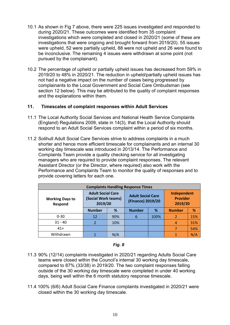- 10.1 As shown in Fig 7 above, there were 225 issues investigated and responded to during 2020/21. These outcomes were identified from 35 complaint investigations which were completed and closed in 2020/21 (some of these are investigations that were ongoing and brought forward from 2019/20). 55 issues were upheld, 52 were partially upheld, 88 were not upheld and 26 were found to be inconclusive. The remaining 4 issues were withdrawn at some point (not pursued by the complainant).
- 10.2 The percentage of upheld or partially upheld issues has decreased from 59% in 2019/20 to 48% in 2020/21. The reduction in upheld/partially upheld issues has not had a negative impact on the number of cases being progressed by complainants to the Local Government and Social Care Ombudsman (see section 12 below). This may be attributed to the quality of complaint responses and the explanations within them.

## **11. Timescales of complaint responses within Adult Services**

- 11.1 The Local Authority Social Services and National Health Service Complaints (England) Regulations 2009, state in 14(3), that the Local Authority should respond to an Adult Social Services complaint within a period of six months.
- 11.2 Solihull Adult Social Care Services strive to address complaints in a much shorter and hence more efficient timescale for complainants and an internal 30 working day timescale was introduced in 2013/14. The Performance and Complaints Team provide a quality checking service for all investigating managers who are required to provide complaint responses. The relevant Assistant Director (or the Director, where required) also work with the Performance and Complaints Team to monitor the quality of responses and to provide covering letters for each one.

| <b>Complaints Handling Response Times</b> |                                                            |     |                                               |      |                                           |     |  |
|-------------------------------------------|------------------------------------------------------------|-----|-----------------------------------------------|------|-------------------------------------------|-----|--|
| <b>Working Days to</b><br>Respond         | <b>Adult Social Care</b><br>(Social Work teams)<br>2019/20 |     | <b>Adult Social Care</b><br>(Finance) 2019/20 |      | Independent<br><b>Provider</b><br>2019/20 |     |  |
|                                           | <b>Number</b><br>%                                         |     | <b>Number</b>                                 | %    | <b>Number</b>                             | %   |  |
| $0 - 30$                                  | 12                                                         | 90% | 6                                             | 100% | 2                                         | 15% |  |
| $31 - 40$                                 |                                                            | 10% |                                               |      |                                           | 31% |  |
| $41+$                                     |                                                            |     |                                               |      |                                           | 54% |  |
| Withdrawn                                 |                                                            | N/A |                                               |      |                                           | N/A |  |

#### *Fig. 8*

- 11.3 90% (12/14) complaints investigated in 2020/21 regarding Adults Social Care teams were closed within the Council's internal 30 working day timescale, compared to 87% (33/38) in 2019/20. The two complaint responses falling outside of the 30 working day timescale were completed in under 40 working days, being well within the 6 month statutory response timescale.
- 11.4 100% (6/6) Adult Social Care Finance complaints investigated in 2020/21 were closed within the 30 working day timescale.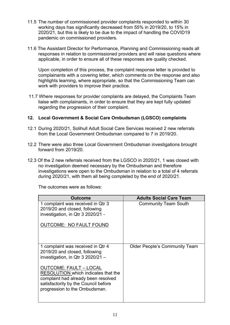- 11.5 The number of commissioned provider complaints responded to within 30 working days has significantly decreased from 55% in 2019/20, to 15% in 2020/21, but this is likely to be due to the impact of handling the COVID19 pandemic on commissioned providers.
- 11.6 The Assistant Director for Performance, Planning and Commissioning reads all responses in relation to commissioned providers and will raise questions where applicable, in order to ensure all of these responses are quality checked.

Upon completion of this process, the complaint response letter is provided to complainants with a covering letter, which comments on the response and also highlights learning, where appropriate, so that the Commissioning Team can work with providers to improve their practice.

11.7 Where responses for provider complaints are delayed, the Complaints Team liaise with complainants, in order to ensure that they are kept fully updated regarding the progression of their complaint.

## **12. Local Government & Social Care Ombudsman (LGSCO) complaints**

- 12.1 During 2020/21, Solihull Adult Social Care Services received 2 new referrals from the Local Government Ombudsman compared to 7 in 2019/20.
- 12.2 There were also three Local Government Ombudsman investigations brought forward from 2019/20.
- 12.3 Of the 2 new referrals received from the LGSCO in 2020/21, 1 was closed with no investigation deemed necessary by the Ombudsman and therefore investigations were open to the Ombudsman in relation to a total of 4 referrals during 2020/21, with them all being completed by the end of 2020/21.

The outcomes were as follows:

| <b>Outcome</b>                                                                                                                                                                       | <b>Adults Social Care Team</b>       |
|--------------------------------------------------------------------------------------------------------------------------------------------------------------------------------------|--------------------------------------|
| 1 complaint was received in Qtr 3<br>2019/20 and closed, following<br>investigation, in Qtr 3 2020/21 -<br><b>OUTCOME: NO FAULT FOUND</b>                                            | <b>Community Team South</b>          |
| 1 complaint was received in Qtr 4<br>2019/20 and closed, following<br>investigation, in Qtr $3\,2020/21 -$                                                                           | <b>Older People's Community Team</b> |
| <b>OUTCOME: FAULT - LOCAL</b><br>RESOLUTION which indicates that the<br>complaint had already been resolved<br>satisfactorily by the Council before<br>progression to the Ombudsman. |                                      |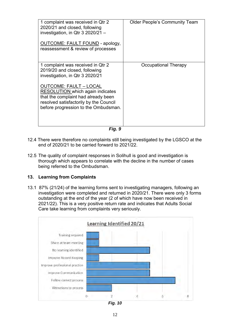| 1 complaint was received in Qtr 2<br>2020/21 and closed, following<br>investigation, in Qtr $3\,2020/21 -$<br><b>OUTCOME: FAULT FOUND - apology,</b><br>reassessment & review of processes                                                                                                          | <b>Older People's Community Team</b> |
|-----------------------------------------------------------------------------------------------------------------------------------------------------------------------------------------------------------------------------------------------------------------------------------------------------|--------------------------------------|
| 1 complaint was received in Qtr 2<br>2019/20 and closed, following<br>investigation, in Qtr 3 2020/21<br>OUTCOME: FAULT – LOCAL<br><b>RESOLUTION</b> which again indicates<br>that the complaint had already been<br>resolved satisfactorily by the Council<br>before progression to the Ombudsman. | Occupational Therapy                 |

*Fig. 9*

- 12.4 There were therefore no complaints still being investigated by the LGSCO at the end of 2020/21 to be carried forward to 2021/22.
- 12.5 The quality of complaint responses in Solihull is good and investigation is thorough which appears to correlate with the decline in the number of cases being referred to the Ombudsman.

## **13. Learning from Complaints**

13.1 87% (21/24) of the learning forms sent to investigating managers, following an investigation were completed and returned in 2020/21. There were only 3 forms outstanding at the end of the year (2 of which have now been received in 2021/22). This is a very positive return rate and indicates that Adults Social Care take learning from complaints very seriously.



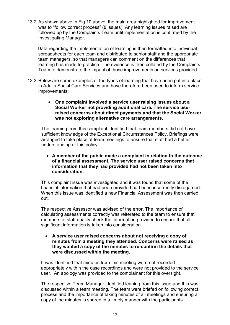13.2 As shown above in Fig 10 above, the main area highlighted for improvement was to "follow correct process" (8 issues). Any learning issues raised are followed up by the Complaints Team until implementation is confirmed by the Investigating Manager.

 Data regarding the implementation of learning is then formatted into individual spreadsheets for each team and distributed to senior staff and the appropriate team managers, so that managers can comment on the differences that learning has made to practice. The evidence is then collated by the Complaints Team to demonstrate the impact of those improvements on services provided.

- 13.3 Below are some examples of the types of learning that have been put into place in Adults Social Care Services and have therefore been used to inform service improvements:
	- **One complaint involved a service user raising issues about a Social Worker not providing additional care. The service user raised concerns about direct payments and that the Social Worker was not exploring alternative care arrangements.**

The learning from this complaint identified that team members did not have sufficient knowledge of the Exceptional Circumstances Policy. Briefings were arranged to take place at team meetings to ensure that staff had a better understanding of this policy.

 **A member of the public made a complaint in relation to the outcome of a financial assessment. The service user raised concerns that information that they had provided had not been taken into consideration.**

This complaint issue was investigated and it was found that some of the financial information that had been provided had been incorrectly disregarded. When this issue was identified a new Financial Assessment was then carried out.

The respective Assessor was advised of the error. The importance of calculating assessments correctly was reiterated to the team to ensure that members of staff quality check the information provided to ensure that all significant information is taken into consideration.

 **A service user raised concerns about not receiving a copy of minutes from a meeting they attended. Concerns were raised as they wanted a copy of the minutes to re-confirm the details that were discussed within the meeting.**

It was identified that minutes from this meeting were not recorded appropriately within the case recordings and were not provided to the service user. An apology was provided to the complainant for this oversight.

The respective Team Manager identified leaning from this issue and this was discussed within a team meeting. The team were briefed on following correct process and the importance of taking minutes of all meetings and ensuring a copy of the minutes is shared in a timely manner with the participants.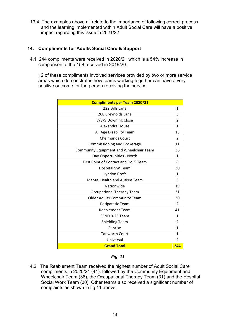13.4. The examples above all relate to the importance of following correct process and the learning implemented within Adult Social Care will have a positive impact regarding this issue in 2021/22

## **14. Compliments for Adults Social Care & Support**

14.1 244 compliments were received in 2020/21 which is a 54% increase in comparison to the 158 received in 2019/20.

12 of these compliments involved services provided by two or more service areas which demonstrates how teams working together can have a very positive outcome for the person receiving the service.

| <b>Compliments per Team 2020/21</b>     |                |
|-----------------------------------------|----------------|
| 222 Bills Lane                          | $\mathbf{1}$   |
| 268 Creynolds Lane                      | 5              |
| 7/8/9 Downing Close                     | $\overline{2}$ |
| Alexandra House                         | $\mathbf{1}$   |
| All Age Disability Team                 | 13             |
| <b>Chelmunds Court</b>                  | $\mathcal{P}$  |
| Commissioning and Brokerage             | 11             |
| Community Equipment and Wheelchair Team | 36             |
| Day Opportunities - North               | $\mathbf{1}$   |
| First Point of Contact and DoLS Team    | 8              |
| <b>Hospital SW Team</b>                 | 30             |
| Lyndon Croft                            | $\mathbf{1}$   |
| Mental Health and Autism Team           | 3              |
| Nationwide                              | 19             |
| <b>Occupational Therapy Team</b>        | 31             |
| <b>Older Adults Community Team</b>      | 30             |
| Peripatetic Team                        | $\overline{2}$ |
| <b>Reablement Team</b>                  | 41             |
| SEND 0-25 Team                          | 1              |
| <b>Shielding Team</b>                   | $\overline{2}$ |
| Sunrise                                 | $\mathbf{1}$   |
| <b>Tanworth Court</b>                   | 1              |
| Universal                               | $\overline{2}$ |
| <b>Grand Total</b>                      | 244            |

#### *Fig. 11*

14.2 The Reablement Team received the highest number of Adult Social Care compliments in 2020/21 (41), followed by the Community Equipment and Wheelchair Team (36), the Occupational Therapy Team (31) and the Hospital Social Work Team (30). Other teams also received a significant number of complaints as shown in fig 11 above.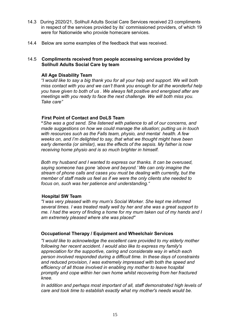- 14.3 During 2020/21, Solihull Adults Social Care Services received 23 compliments in respect of the services provided by its' commissioned providers, of which 19 were for Nationwide who provide homecare services.
- 14.4 Below are some examples of the feedback that was received.

### 14.5 **Compliments received from people accessing services provided by Solihull Adults Social Care by team**

#### **All Age Disability Team**

*"I would like to say a big thank you for all your help and support. We will both miss contact with you and we can't thank you enough for all the wonderful help you have given to both of us . We always felt positive and energised after are meetings with you ready to face the next challenge. We will both miss you. Take care"*

#### **First Point of Contact and DoLS Team**

**"***She was a god send. She listened with patience to all of our concerns, and made suggestions on how we could manage the situation; putting us in touch with resources such as the Falls team, physio, and mental health. A few weeks on, and I'm delighted to say, that what we thought might have been early dementia (or similar), was the effects of the sepsis. My father is now receiving home physio and is so much brighter in himself.*

*Both my husband and I wanted to express our thanks. It can be overused, saying someone has gone 'above and beyond.' We can only imagine the stream of phone calls and cases you must be dealing with currently, but the member of staff made us feel as if we were the only clients she needed to focus on, such was her patience and understanding."*

#### **Hospital SW Team**

*"I was very pleased with my mum's Social Worker. She kept me informed several times. I was treated really well by her and she was a great support to me. I had the worry of finding a home for my mum taken out of my hands and I am extremely pleased where she was placed"*

#### **Occupational Therapy / Equipment and Wheelchair Services**

*"I would like to acknowledge the excellent care provided to my elderly mother following her recent accident. I would also like to express my family's appreciation for the supportive, caring and considerate way in which each person involved responded during a difficult time. In these days of constraints and reduced provision, I was extremely impressed with both the speed and efficiency of all those involved in enabling my mother to leave hospital promptly and cope within her own home whilst recovering from her fractured knee.*

*In addition and perhaps most important of all, staff demonstrated high levels of care and took time to establish exactly what my mother's needs would be.*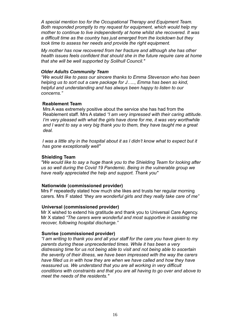*A special mention too for the Occupational Therapy and Equipment Team. Both responded promptly to my request for equipment, which would help my mother to continue to live independently at home whilst she recovered. It was a difficult time as the country has just emerged from the lockdown but they took time to assess her needs and provide the right equipment.*

*My mother has now recovered from her fracture and although she has other health issues feels confident that should she in the future require care at home that she will be well supported by Solihull Council."*

#### *Older Adults Community Team*

*"We would like to pass our sincere thanks to Emma Stevenson who has been helping us to sort out a care package for J….., Emma has been so kind, helpful and understanding and has always been happy to listen to our concerns."*

#### **Reablement Team**

 Mrs A was extremely positive about the service she has had from the Reablement staff. Mrs A stated *"I am very impressed with their caring attitude. I'm very pleased with what the girls have done for me, it was very worthwhile and I want to say a very big thank you to them, they have taught me a great deal.* 

*I was a little shy in the hospital about it as I didn't know what to expect but it has gone exceptionally well"*

#### **Shielding Team**

*"We would like to say a huge thank you to the Shielding Team for looking after us so well during the Covid 19 Pandemic. Being in the vulnerable group we have really appreciated the help and support. Thank you"*

#### **Nationwide (commissioned provider)**

Mrs F repeatedly stated how much she likes and trusts her regular morning carers. Mrs F stated *"they are wonderful girls and they really take care of me"*

#### **Universal (commissioned provider)**

Mr X wished to extend his gratitude and thank you to Universal Care Agency. Mr X stated *"The carers were wonderful and most supportive in assisting me recover, following hospital discharge."*

#### **Sunrise (commissioned provider)**

*"I am writing to thank you and all your staff for the care you have given to my parents during these unprecedented times. While it has been a very distressing time for us not being able to visit and not being able to ascertain the severity of their illness, we have been impressed with the way the carers have filled us in with how they are when we have called and how they have reassured us. We understand that you are all working in very difficult conditions with constraints and that you are all having to go over and above to meet the needs of the residents."*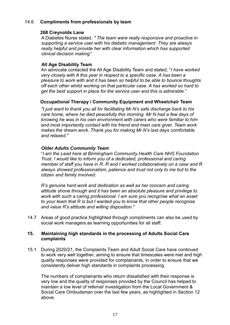## 14.6 **Compliments from professionals by team**

### **268 Creynolds Lane**

A Diabetes Nurse stated, *" The team were really responsive and proactive in supporting a service user with his diabetic management .They are always really helpful and provide her with clear information which has supported clinical decision making"*

## **All Age Disability Team**

An advocate contacted the All Age Disability Team and stated, "*I have worked very closely with A this year in respect to a specific case. A has been a pleasure to work with and it has been so helpful to be able to bounce thoughts off each other whilst working on that particular case. A has worked so hard to get the best support in place for the service user and this is admirable*."

## **Occupational Therapy / Community Equipment and Wheelchair Team**

*"I just want to thank you all for facilitating Mr N's safe discharge back to his care home, where he died peacefully this morning. Mr N had a few days of knowing he was in his own environment with carers who were familiar to him and most importantly contact with his friend and main care giver. Team work makes the dream work. Thank you for making Mr N's last days comfortable and relaxed."*

## *Older Adults Community Team*

"*I am the Lead here at Birmingham Community Health Care NHS Foundation Trust. I would like to inform you of a dedicated, professional and caring member of staff you have in R. R and I worked collaboratively on a case and R always showed professionalism, patience and trust not only to me but to the citizen and family involved.*

*R's genuine hard work and dedication as well as her concern and caring attitude shone through and it has been an absolute pleasure and privilege to work with such a caring professional. I am sure you recognise what an asset to your team that R is but I wanted you to know that other people recognise and value R's attitude and willing disposition."*

14.7 Areas of good practice highlighted through compliments can also be used by social work managers as learning opportunities for all staff.

#### **15. Maintaining high standards in the processing of Adults Social Care complaints**

15.1 During 2020/21, the Complaints Team and Adult Social Care have continued to work very well together, aiming to ensure that timescales were met and high quality responses were provided for complainants, in order to ensure that we consistently deliver high standards in complaints processing.

The numbers of complainants who return dissatisfied with their response is very low and the quality of responses provided by the Council has helped to maintain a low level of referral/ investigation from the Local Government & Social Care Ombudsman over the last few years, as highlighted in Section 12 above.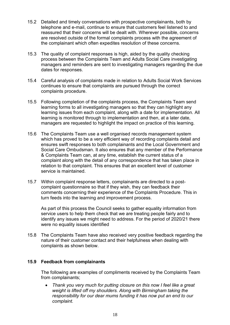- 15.2 Detailed and timely conversations with prospective complainants, both by telephone and e-mail, continue to ensure that customers feel listened to and reassured that their concerns will be dealt with. Wherever possible, concerns are resolved outside of the formal complaints process with the agreement of the complainant which often expedites resolution of these concerns.
- 15.3 The quality of complaint responses is high, aided by the quality checking process between the Complaints Team and Adults Social Care investigating managers and reminders are sent to investigating managers regarding the due dates for responses.
- 15.4 Careful analysis of complaints made in relation to Adults Social Work Services continues to ensure that complaints are pursued through the correct complaints procedure.
- 15.5 Following completion of the complaints process, the Complaints Team send learning forms to all investigating managers so that they can highlight any learning issues from each complaint, along with a date for implementation. All learning is monitored through to implementation and then, at a later date, managers are requested to highlight the impact on practice of this learning.
- 15.6 The Complaints Team use a well organised records management system which has proved to be a very efficient way of recording complaints detail and ensures swift responses to both complainants and the Local Government and Social Care Ombudsman. It also ensures that any member of the Performance & Complaints Team can, at any time, establish the current status of a complaint along with the detail of any correspondence that has taken place in relation to that complaint. This ensures that an excellent level of customer service is maintained.
- 15.7 Within complaint response letters, complainants are directed to a postcomplaint questionnaire so that if they wish, they can feedback their comments concerning their experience of the Complaints Procedure. This in turn feeds into the learning and improvement process.

As part of this process the Council seeks to gather equality information from service users to help them check that we are treating people fairly and to identify any issues we might need to address. For the period of 2020/21 there were no equality issues identified

15.8 The Complaints Team have also received very positive feedback regarding the nature of their customer contact and their helpfulness when dealing with complaints as shown below.

## **15.9 Feedback from complainants**

The following are examples of compliments received by the Complaints Team from complainants;

 *Thank you very much for putting closure on this now I feel like a great weight is lifted off my shoulders. Along with Birmingham taking the responsibility for our dear mums funding it has now put an end to our complaint.*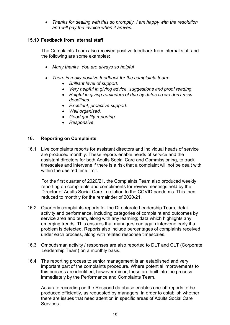*Thanks for dealing with this so promptly. I am happy with the resolution and will pay the invoice when it arrives.*

## **15.10 Feedback from internal staff**

The Complaints Team also received positive feedback from internal staff and the following are some examples;

- *Many thanks. You are always so helpful*
- *There is really positive feedback for the complaints team:*
	- *Brilliant level of support.*
	- *Very helpful in giving advice, suggestions and proof reading.*
	- *Helpful in giving reminders of due by dates so we don't miss deadlines.*
	- *Excellent, proactive support.*
	- *Well organised.*
	- *Good quality reporting.*
	- *Responsive.*

#### **16. Reporting on Complaints**

16.1 Live complaints reports for assistant directors and individual heads of service are produced monthly. These reports enable heads of service and the assistant directors for both Adults Social Care and Commissioning, to track timescales and intervene if there is a risk that a complaint will not be dealt with within the desired time limit.

For the first quarter of 2020/21, the Complaints Team also produced weekly reporting on complaints and compliments for review meetings held by the Director of Adults Social Care in relation to the COVID pandemic. This then reduced to monthly for the remainder of 2020/21.

- 16.2 Quarterly complaints reports for the Directorate Leadership Team, detail activity and performance, including categories of complaint and outcomes by service area and team, along with any learning; data which highlights any emerging trends. This ensures that managers can again intervene early if a problem is detected. Reports also include percentages of complaints received under each process, along with related response timescales.
- 16.3 Ombudsman activity / responses are also reported to DLT and CLT (Corporate Leadership Team) on a monthly basis.
- 16.4 The reporting process to senior management is an established and very important part of the complaints procedure. Where potential improvements to this process are identified, however minor, these are built into the process immediately by the Performance and Complaints Team.

Accurate recording on the Respond database enables one-off reports to be produced efficiently, as requested by managers, in order to establish whether there are issues that need attention in specific areas of Adults Social Care **Services**